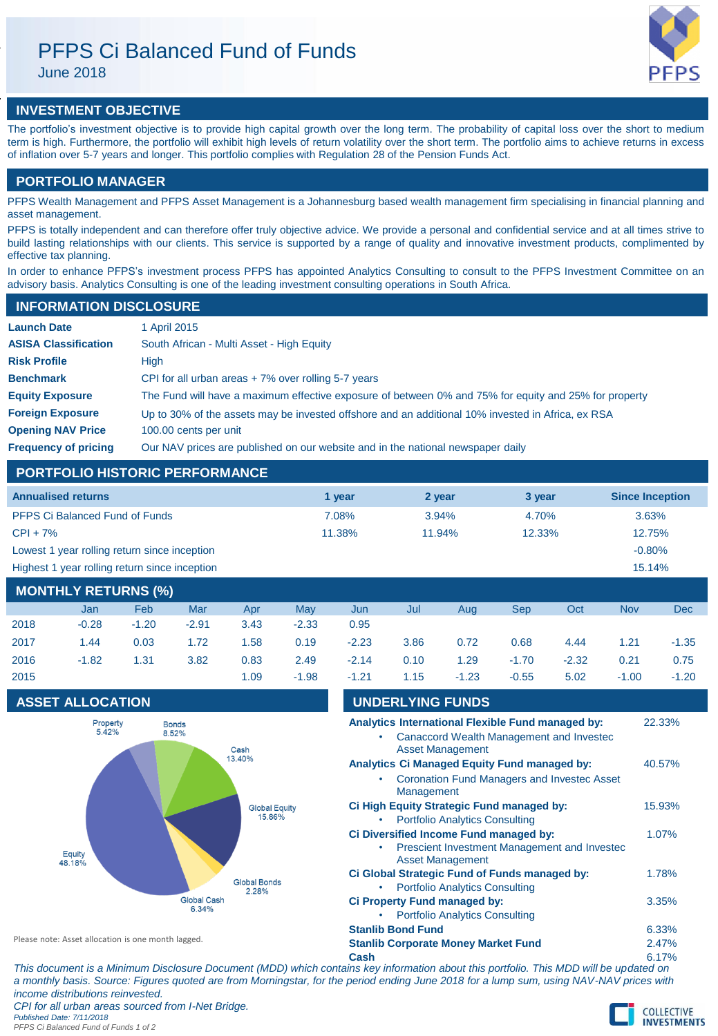# PFPS Ci Balanced Fund of Funds

June 2018



## **INVESTMENT OBJECTIVE**

The portfolio's investment objective is to provide high capital growth over the long term. The probability of capital loss over the short to medium term is high. Furthermore, the portfolio will exhibit high levels of return volatility over the short term. The portfolio aims to achieve returns in excess of inflation over 5-7 years and longer. This portfolio complies with Regulation 28 of the Pension Funds Act.

### **PORTFOLIO MANAGER**

PFPS Wealth Management and PFPS Asset Management is a Johannesburg based wealth management firm specialising in financial planning and asset management.

PFPS is totally independent and can therefore offer truly objective advice. We provide a personal and confidential service and at all times strive to build lasting relationships with our clients. This service is supported by a range of quality and innovative investment products, complimented by effective tax planning.

In order to enhance PFPS's investment process PFPS has appointed Analytics Consulting to consult to the PFPS Investment Committee on an advisory basis. Analytics Consulting is one of the leading investment consulting operations in South Africa.

### **INFORMATION DISCLOSURE**

| <b>Launch Date</b>          | 1 April 2015                                                                                          |
|-----------------------------|-------------------------------------------------------------------------------------------------------|
| <b>ASISA Classification</b> | South African - Multi Asset - High Equity                                                             |
| <b>Risk Profile</b>         | High                                                                                                  |
| <b>Benchmark</b>            | CPI for all urban areas $+7\%$ over rolling 5-7 years                                                 |
| <b>Equity Exposure</b>      | The Fund will have a maximum effective exposure of between 0% and 75% for equity and 25% for property |
| <b>Foreign Exposure</b>     | Up to 30% of the assets may be invested offshore and an additional 10% invested in Africa, ex RSA     |
| <b>Opening NAV Price</b>    | 100.00 cents per unit                                                                                 |
| <b>Frequency of pricing</b> | Our NAV prices are published on our website and in the national newspaper daily                       |

## **PORTFOLIO HISTORIC PERFORMANCE**

| <b>Annualised returns</b>                     | 1 vear | 2 year | 3 year    | <b>Since Inception</b> |
|-----------------------------------------------|--------|--------|-----------|------------------------|
| <b>PFPS Ci Balanced Fund of Funds</b>         | 7.08%  | 3.94%  | 4.70%     | 3.63%                  |
| $CPI + 7%$                                    | 11.38% | 11.94% | $12.33\%$ | 12.75%                 |
| Lowest 1 year rolling return since inception  |        |        |           | $-0.80\%$              |
| Highest 1 year rolling return since inception |        |        |           | 15.14%                 |

# **MONTHLY RETURNS (%)** Jan Feb Mar Apr May Jun Jul Aug Sep Oct Nov Dec 2018 -0.28 -1.20 -2.91 3.43 -2.33 0.95 2017 1.44 0.03 1.72 1.58 0.19 -2.23 3.86 0.72 0.68 4.44 1.21 -1.35 2016 -1.82 1.31 3.82 0.83 2.49 -2.14 0.10 1.29 -1.70 -2.32 0.21 0.75 2015 1.09 -1.98 -1.21 1.15 -1.23 -0.55 5.02 -1.00 -1.20

# **ASSET ALLOCATION UNDERLYING FUNDS**



| UNDLINL HING I UNDO                                                                                                      |             |  |
|--------------------------------------------------------------------------------------------------------------------------|-------------|--|
| Analytics International Flexible Fund managed by:<br>Canaccord Wealth Management and Invested<br><b>Asset Management</b> | 22.33%      |  |
| Analytics Ci Managed Equity Fund managed by:                                                                             | 40.57%      |  |
| <b>Coronation Fund Managers and Investec Asset</b><br>Management                                                         |             |  |
| Ci High Equity Strategic Fund managed by:                                                                                | 15.93%      |  |
| <b>Portfolio Analytics Consulting</b>                                                                                    |             |  |
| Ci Diversified Income Fund managed by:                                                                                   | 1.07%       |  |
| Prescient Investment Management and Investec<br><b>Asset Management</b>                                                  |             |  |
| Ci Global Strategic Fund of Funds managed by:                                                                            | 1.78%       |  |
| <b>Portfolio Analytics Consulting</b>                                                                                    |             |  |
| Ci Property Fund managed by:                                                                                             | 3.35%       |  |
| <b>Portfolio Analytics Consulting</b>                                                                                    |             |  |
| <b>Stanlib Bond Fund</b>                                                                                                 | 6.33%       |  |
| <b>Stanlib Corporate Money Market Fund</b>                                                                               | 2.47%       |  |
| 0.55                                                                                                                     | $C = 4.701$ |  |

Please note: Asset allocation is one month lagged.

**Cash** 6.17% *This document is a Minimum Disclosure Document (MDD) which contains key information about this portfolio. This MDD will be updated on a monthly basis. Source: Figures quoted are from Morningstar, for the period ending June 2018 for a lump sum, using NAV-NAV prices with income distributions reinvested.*

*CPI for all urban areas sourced from I-Net Bridge. Published Date: 7/11/2018*